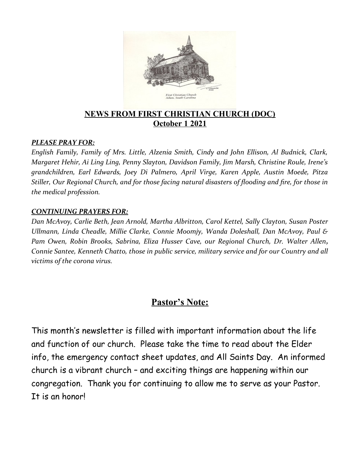

#### **NEWS FROM FIRST CHRISTIAN CHURCH (DOC) October 1 2021**

#### *PLEASE PRAY FOR:*

*English Family, Family of Mrs. Little, Alzenia Smith, Cindy and John Ellison, Al Budnick, Clark, Margaret Hehir, Ai Ling Ling, Penny Slayton, Davidson Family, Jim Marsh, Christine Roule, Irene's grandchildren, Earl Edwards, Joey Di Palmero, April Virge, Karen Apple, Austin Moede, Pitza Stiller, Our Regional Church, and for those facing natural disasters of flooding and fire, for those in the medical profession.*

#### *CONTINUING PRAYERS FOR:*

*Dan McAvoy, Carlie Beth, Jean Arnold, Martha Albritton, Carol Kettel, Sally Clayton, Susan Poster Ullmann, Linda Cheadle, Millie Clarke, Connie Moomjy, Wanda Doleshall, Dan McAvoy, Paul & Pam Owen, Robin Brooks, Sabrina, Eliza Husser Cave, our Regional Church, Dr. Walter Allen, Connie Santee, Kenneth Chatto, those in public service, military service and for our Country and all victims of the corona virus.* 

## **Pastor's Note:**

This month's newsletter is filled with important information about the life and function of our church. Please take the time to read about the Elder info, the emergency contact sheet updates, and All Saints Day. An informed church is a vibrant church – and exciting things are happening within our congregation. Thank you for continuing to allow me to serve as your Pastor. It is an honor!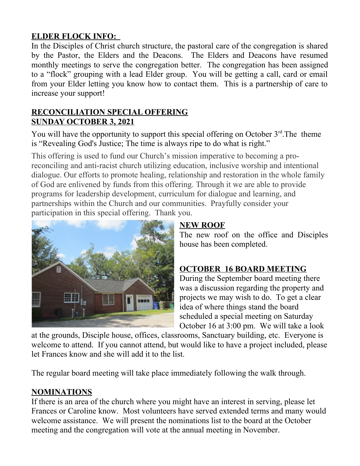## **ELDER FLOCK INFO:**

In the Disciples of Christ church structure, the pastoral care of the congregation is shared by the Pastor, the Elders and the Deacons. The Elders and Deacons have resumed monthly meetings to serve the congregation better. The congregation has been assigned to a "flock" grouping with a lead Elder group. You will be getting a call, card or email from your Elder letting you know how to contact them. This is a partnership of care to increase your support!

#### **RECONCILIATION SPECIAL OFFERING SUNDAY OCTOBER 3, 2021**

You will have the opportunity to support this special offering on October  $3<sup>rd</sup>$ . The theme is "Revealing God's Justice; The time is always ripe to do what is right."

This offering is used to fund our Church's mission imperative to becoming a proreconciling and anti-racist church utilizing education, inclusive worship and intentional dialogue. Our efforts to promote healing, relationship and restoration in the whole family of God are enlivened by funds from this offering. Through it we are able to provide programs for leadership development, curriculum for dialogue and learning, and partnerships within the Church and our communities. Prayfully consider your participation in this special offering. Thank you.



#### **NEW ROOF**

The new roof on the office and Disciples house has been completed.

# **OCTOBER 16 BOARD MEETING**

During the September board meeting there was a discussion regarding the property and projects we may wish to do. To get a clear idea of where things stand the board scheduled a special meeting on Saturday October 16 at 3:00 pm. We will take a look

at the grounds, Disciple house, offices, classrooms, Sanctuary building, etc. Everyone is welcome to attend. If you cannot attend, but would like to have a project included, please let Frances know and she will add it to the list.

The regular board meeting will take place immediately following the walk through.

## **NOMINATIONS**

If there is an area of the church where you might have an interest in serving, please let Frances or Caroline know. Most volunteers have served extended terms and many would welcome assistance. We will present the nominations list to the board at the October meeting and the congregation will vote at the annual meeting in November.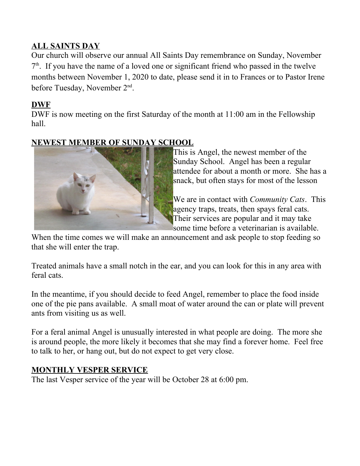## **ALL SAINTS DAY**

Our church will observe our annual All Saints Day remembrance on Sunday, November  $7<sup>th</sup>$ . If you have the name of a loved one or significant friend who passed in the twelve months between November 1, 2020 to date, please send it in to Frances or to Pastor Irene before Tuesday, November 2<sup>nd</sup>.

## **DWF**

DWF is now meeting on the first Saturday of the month at 11:00 am in the Fellowship hall.

## **NEWEST MEMBER OF SUNDAY SCHOOL**



This is Angel, the newest member of the Sunday School. Angel has been a regular attendee for about a month or more. She has a snack, but often stays for most of the lesson

We are in contact with *Community Cats*. This agency traps, treats, then spays feral cats. Their services are popular and it may take some time before a veterinarian is available.

When the time comes we will make an announcement and ask people to stop feeding so that she will enter the trap.

Treated animals have a small notch in the ear, and you can look for this in any area with feral cats.

In the meantime, if you should decide to feed Angel, remember to place the food inside one of the pie pans available. A small moat of water around the can or plate will prevent ants from visiting us as well.

For a feral animal Angel is unusually interested in what people are doing. The more she is around people, the more likely it becomes that she may find a forever home. Feel free to talk to her, or hang out, but do not expect to get very close.

## **MONTHLY VESPER SERVICE**

The last Vesper service of the year will be October 28 at 6:00 pm.